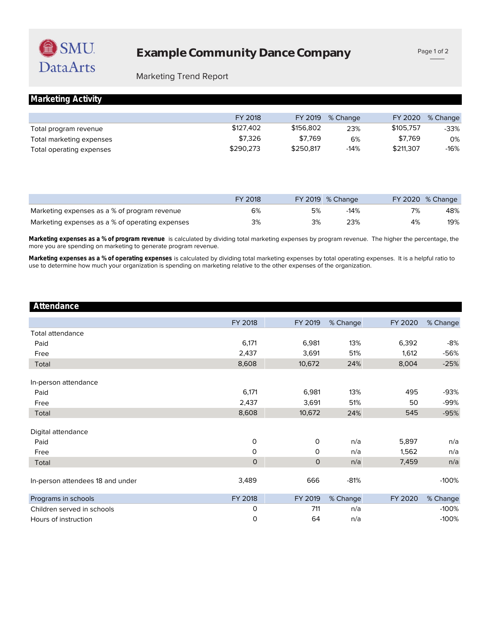## Marketing Trend Report

|  | Marketing Activity |
|--|--------------------|
|  |                    |

|                          | FY 2018   | FY 2019   | % Change | FY 2020   | % Change |
|--------------------------|-----------|-----------|----------|-----------|----------|
| Total program revenue    | \$127.402 | \$156,802 | 23%      | \$105.757 | -33%     |
| Total marketing expenses | \$7.326   | \$7.769   | 6%       | \$7.769   | 0%       |
| Total operating expenses | \$290.273 | \$250.817 | $-14%$   | \$211,307 | -16%     |

|                                                 | FY 2018 |    | FY 2019 % Change |    | $FY$ 2020 % Change |
|-------------------------------------------------|---------|----|------------------|----|--------------------|
| Marketing expenses as a % of program revenue    | 6%      | 5% | $-14%$           |    | 48%                |
| Marketing expenses as a % of operating expenses | 3%      | 3% | 23%              | 4% | 19%                |

more you are spending on marketing to generate program revenue. **Marketing expenses as a % of program revenue** is calculated by dividing total marketing expenses by program revenue. The higher the percentage, the

use to determine how much your organization is spending on marketing relative to the other expenses of the organization. **Marketing expenses as a % of operating expenses** is calculated by dividing total marketing expenses by total operating expenses. It is a helpful ratio to

#### **Attendance**

|                                  | FY 2018      | FY 2019      | % Change | FY 2020 | % Change |
|----------------------------------|--------------|--------------|----------|---------|----------|
| <b>Total attendance</b>          |              |              |          |         |          |
| Paid                             | 6,171        | 6,981        | 13%      | 6,392   | -8%      |
| Free                             | 2,437        | 3,691        | 51%      | 1,612   | -56%     |
| Total                            | 8,608        | 10,672       | 24%      | 8,004   | $-25%$   |
| In-person attendance             |              |              |          |         |          |
| Paid                             | 6,171        | 6,981        | 13%      | 495     | -93%     |
| Free                             | 2,437        | 3,691        | 51%      | 50      | -99%     |
| Total                            | 8,608        | 10,672       | 24%      | 545     | $-95%$   |
| Digital attendance               |              |              |          |         |          |
| Paid                             | 0            | $\mathbf 0$  | n/a      | 5,897   | n/a      |
| Free                             | 0            | 0            | n/a      | 1,562   | n/a      |
| Total                            | $\mathbf{O}$ | $\mathsf{O}$ | n/a      | 7,459   | n/a      |
| In-person attendees 18 and under | 3,489        | 666          | $-81%$   |         | $-100%$  |
| Programs in schools              | FY 2018      | FY 2019      | % Change | FY 2020 | % Change |
| Children served in schools       | 0            | 711          | n/a      |         | $-100%$  |
| Hours of instruction             | 0            | 64           | n/a      |         | $-100%$  |